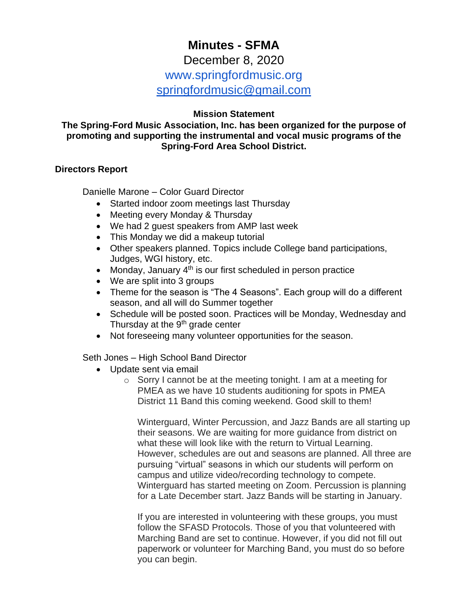# **Minutes - SFMA**

December 8, 2020

www.springfordmusic.org

[springfordmusic@gmail.com](mailto:springfordmusic@gmail.com)

# **Mission Statement**

## **The Spring-Ford Music Association, Inc. has been organized for the purpose of promoting and supporting the instrumental and vocal music programs of the Spring-Ford Area School District.**

## **Directors Report**

Danielle Marone – Color Guard Director

- Started indoor zoom meetings last Thursday
- Meeting every Monday & Thursday
- We had 2 guest speakers from AMP last week
- This Monday we did a makeup tutorial
- Other speakers planned. Topics include College band participations, Judges, WGI history, etc.
- Monday, January  $4<sup>th</sup>$  is our first scheduled in person practice
- We are split into 3 groups
- Theme for the season is "The 4 Seasons". Each group will do a different season, and all will do Summer together
- Schedule will be posted soon. Practices will be Monday, Wednesday and Thursday at the  $9<sup>th</sup>$  grade center
- Not foreseeing many volunteer opportunities for the season.

# Seth Jones – High School Band Director

- Update sent via email
	- o Sorry I cannot be at the meeting tonight. I am at a meeting for PMEA as we have 10 students auditioning for spots in PMEA District 11 Band this coming weekend. Good skill to them!

Winterguard, Winter Percussion, and Jazz Bands are all starting up their seasons. We are waiting for more guidance from district on what these will look like with the return to Virtual Learning. However, schedules are out and seasons are planned. All three are pursuing "virtual" seasons in which our students will perform on campus and utilize video/recording technology to compete. Winterguard has started meeting on Zoom. Percussion is planning for a Late December start. Jazz Bands will be starting in January.

If you are interested in volunteering with these groups, you must follow the SFASD Protocols. Those of you that volunteered with Marching Band are set to continue. However, if you did not fill out paperwork or volunteer for Marching Band, you must do so before you can begin.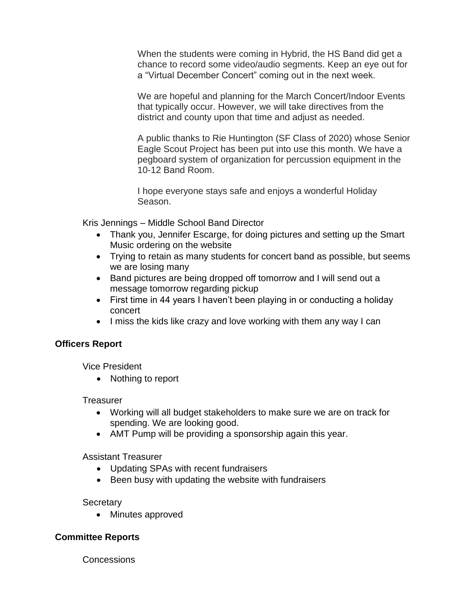When the students were coming in Hybrid, the HS Band did get a chance to record some video/audio segments. Keep an eye out for a "Virtual December Concert" coming out in the next week.

We are hopeful and planning for the March Concert/Indoor Events that typically occur. However, we will take directives from the district and county upon that time and adjust as needed.

A public thanks to Rie Huntington (SF Class of 2020) whose Senior Eagle Scout Project has been put into use this month. We have a pegboard system of organization for percussion equipment in the 10-12 Band Room.

I hope everyone stays safe and enjoys a wonderful Holiday Season.

Kris Jennings – Middle School Band Director

- Thank you, Jennifer Escarge, for doing pictures and setting up the Smart Music ordering on the website
- Trying to retain as many students for concert band as possible, but seems we are losing many
- Band pictures are being dropped off tomorrow and I will send out a message tomorrow regarding pickup
- First time in 44 years I haven't been playing in or conducting a holiday concert
- I miss the kids like crazy and love working with them any way I can

#### **Officers Report**

Vice President

• Nothing to report

**Treasurer** 

- Working will all budget stakeholders to make sure we are on track for spending. We are looking good.
- AMT Pump will be providing a sponsorship again this year.

Assistant Treasurer

- Updating SPAs with recent fundraisers
- Been busy with updating the website with fundraisers

**Secretary** 

• Minutes approved

# **Committee Reports**

**Concessions**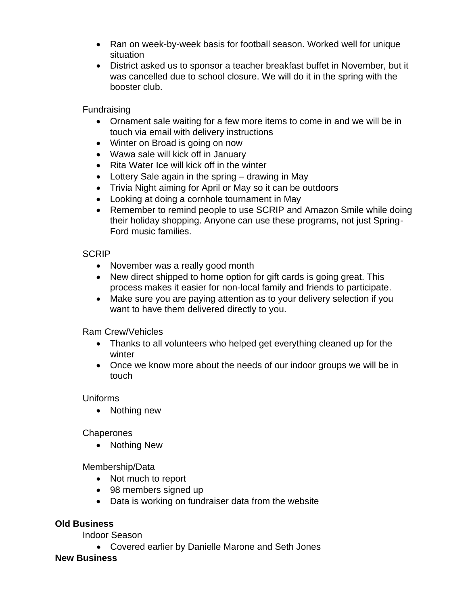- Ran on week-by-week basis for football season. Worked well for unique situation
- District asked us to sponsor a teacher breakfast buffet in November, but it was cancelled due to school closure. We will do it in the spring with the booster club.

Fundraising

- Ornament sale waiting for a few more items to come in and we will be in touch via email with delivery instructions
- Winter on Broad is going on now
- Wawa sale will kick off in January
- Rita Water Ice will kick off in the winter
- Lottery Sale again in the spring drawing in May
- Trivia Night aiming for April or May so it can be outdoors
- Looking at doing a cornhole tournament in May
- Remember to remind people to use SCRIP and Amazon Smile while doing their holiday shopping. Anyone can use these programs, not just Spring-Ford music families.

## **SCRIP**

- November was a really good month
- New direct shipped to home option for gift cards is going great. This process makes it easier for non-local family and friends to participate.
- Make sure you are paying attention as to your delivery selection if you want to have them delivered directly to you.

# Ram Crew/Vehicles

- Thanks to all volunteers who helped get everything cleaned up for the winter
- Once we know more about the needs of our indoor groups we will be in touch

# Uniforms

• Nothing new

#### **Chaperones**

• Nothing New

Membership/Data

- Not much to report
- 98 members signed up
- Data is working on fundraiser data from the website

# **Old Business**

Indoor Season

• Covered earlier by Danielle Marone and Seth Jones

#### **New Business**